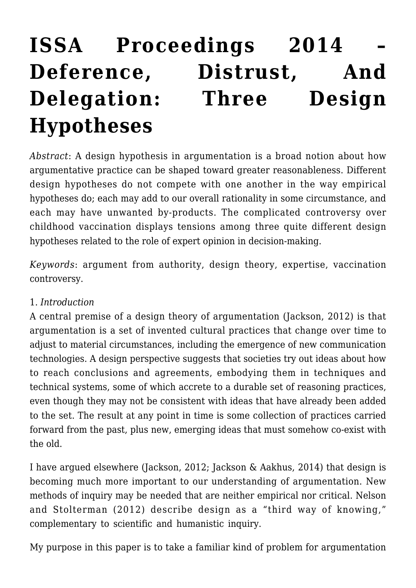# **[ISSA Proceedings 2014 –](https://rozenbergquarterly.com/issa-proceedings-2014-deference-distrust-and-delegation-three-design-hypotheses/) [Deference, Distrust, And](https://rozenbergquarterly.com/issa-proceedings-2014-deference-distrust-and-delegation-three-design-hypotheses/) [Delegation: Three Design](https://rozenbergquarterly.com/issa-proceedings-2014-deference-distrust-and-delegation-three-design-hypotheses/) [Hypotheses](https://rozenbergquarterly.com/issa-proceedings-2014-deference-distrust-and-delegation-three-design-hypotheses/)**

*Abstract*: A design hypothesis in argumentation is a broad notion about how argumentative practice can be shaped toward greater reasonableness. Different design hypotheses do not compete with one another in the way empirical hypotheses do; each may add to our overall rationality in some circumstance, and each may have unwanted by-products. The complicated controversy over childhood vaccination displays tensions among three quite different design hypotheses related to the role of expert opinion in decision-making.

*Keywords*: argument from authority, design theory, expertise, vaccination controversy.

#### 1. *Introduction*

A central premise of a design theory of argumentation (Jackson, 2012) is that argumentation is a set of invented cultural practices that change over time to adjust to material circumstances, including the emergence of new communication technologies. A design perspective suggests that societies try out ideas about how to reach conclusions and agreements, embodying them in techniques and technical systems, some of which accrete to a durable set of reasoning practices, even though they may not be consistent with ideas that have already been added to the set. The result at any point in time is some collection of practices carried forward from the past, plus new, emerging ideas that must somehow co-exist with the old.

I have argued elsewhere (Jackson, 2012; Jackson & Aakhus, 2014) that design is becoming much more important to our understanding of argumentation. New methods of inquiry may be needed that are neither empirical nor critical. Nelson and Stolterman (2012) describe design as a "third way of knowing," complementary to scientific and humanistic inquiry.

My purpose in this paper is to take a familiar kind of problem for argumentation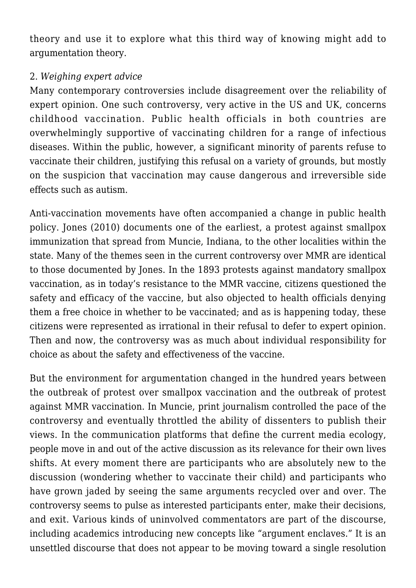theory and use it to explore what this third way of knowing might add to argumentation theory.

### 2. *Weighing expert advice*

Many contemporary controversies include disagreement over the reliability of expert opinion. One such controversy, very active in the US and UK, concerns childhood vaccination. Public health officials in both countries are overwhelmingly supportive of vaccinating children for a range of infectious diseases. Within the public, however, a significant minority of parents refuse to vaccinate their children, justifying this refusal on a variety of grounds, but mostly on the suspicion that vaccination may cause dangerous and irreversible side effects such as autism.

Anti-vaccination movements have often accompanied a change in public health policy. Jones (2010) documents one of the earliest, a protest against smallpox immunization that spread from Muncie, Indiana, to the other localities within the state. Many of the themes seen in the current controversy over MMR are identical to those documented by Jones. In the 1893 protests against mandatory smallpox vaccination, as in today's resistance to the MMR vaccine, citizens questioned the safety and efficacy of the vaccine, but also objected to health officials denying them a free choice in whether to be vaccinated; and as is happening today, these citizens were represented as irrational in their refusal to defer to expert opinion. Then and now, the controversy was as much about individual responsibility for choice as about the safety and effectiveness of the vaccine.

But the environment for argumentation changed in the hundred years between the outbreak of protest over smallpox vaccination and the outbreak of protest against MMR vaccination. In Muncie, print journalism controlled the pace of the controversy and eventually throttled the ability of dissenters to publish their views. In the communication platforms that define the current media ecology, people move in and out of the active discussion as its relevance for their own lives shifts. At every moment there are participants who are absolutely new to the discussion (wondering whether to vaccinate their child) and participants who have grown jaded by seeing the same arguments recycled over and over. The controversy seems to pulse as interested participants enter, make their decisions, and exit. Various kinds of uninvolved commentators are part of the discourse, including academics introducing new concepts like "argument enclaves." It is an unsettled discourse that does not appear to be moving toward a single resolution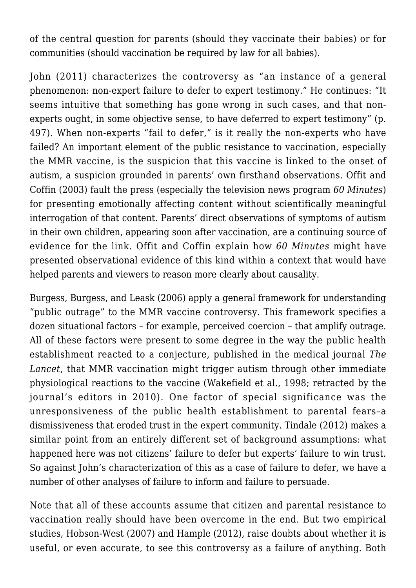of the central question for parents (should they vaccinate their babies) or for communities (should vaccination be required by law for all babies).

John (2011) characterizes the controversy as "an instance of a general phenomenon: non-expert failure to defer to expert testimony." He continues: "It seems intuitive that something has gone wrong in such cases, and that nonexperts ought, in some objective sense, to have deferred to expert testimony" (p. 497). When non-experts "fail to defer," is it really the non-experts who have failed? An important element of the public resistance to vaccination, especially the MMR vaccine, is the suspicion that this vaccine is linked to the onset of autism, a suspicion grounded in parents' own firsthand observations. Offit and Coffin (2003) fault the press (especially the television news program *60 Minutes*) for presenting emotionally affecting content without scientifically meaningful interrogation of that content. Parents' direct observations of symptoms of autism in their own children, appearing soon after vaccination, are a continuing source of evidence for the link. Offit and Coffin explain how *60 Minutes* might have presented observational evidence of this kind within a context that would have helped parents and viewers to reason more clearly about causality.

Burgess, Burgess, and Leask (2006) apply a general framework for understanding "public outrage" to the MMR vaccine controversy. This framework specifies a dozen situational factors – for example, perceived coercion – that amplify outrage. All of these factors were present to some degree in the way the public health establishment reacted to a conjecture, published in the medical journal *The Lancet*, that MMR vaccination might trigger autism through other immediate physiological reactions to the vaccine (Wakefield et al., 1998; retracted by the journal's editors in 2010). One factor of special significance was the unresponsiveness of the public health establishment to parental fears–a dismissiveness that eroded trust in the expert community. Tindale (2012) makes a similar point from an entirely different set of background assumptions: what happened here was not citizens' failure to defer but experts' failure to win trust. So against John's characterization of this as a case of failure to defer, we have a number of other analyses of failure to inform and failure to persuade.

Note that all of these accounts assume that citizen and parental resistance to vaccination really should have been overcome in the end. But two empirical studies, Hobson-West (2007) and Hample (2012), raise doubts about whether it is useful, or even accurate, to see this controversy as a failure of anything. Both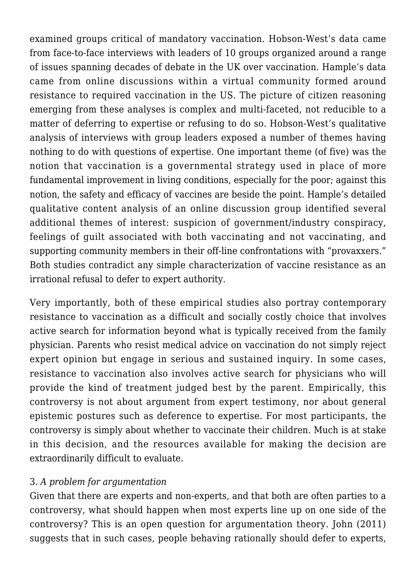examined groups critical of mandatory vaccination. Hobson-West's data came from face-to-face interviews with leaders of 10 groups organized around a range of issues spanning decades of debate in the UK over vaccination. Hample's data came from online discussions within a virtual community formed around resistance to required vaccination in the US. The picture of citizen reasoning emerging from these analyses is complex and multi-faceted, not reducible to a matter of deferring to expertise or refusing to do so. Hobson-West's qualitative analysis of interviews with group leaders exposed a number of themes having nothing to do with questions of expertise. One important theme (of five) was the notion that vaccination is a governmental strategy used in place of more fundamental improvement in living conditions, especially for the poor; against this notion, the safety and efficacy of vaccines are beside the point. Hample's detailed qualitative content analysis of an online discussion group identified several additional themes of interest: suspicion of government/industry conspiracy, feelings of guilt associated with both vaccinating and not vaccinating, and supporting community members in their off-line confrontations with "provaxxers." Both studies contradict any simple characterization of vaccine resistance as an irrational refusal to defer to expert authority.

Very importantly, both of these empirical studies also portray contemporary resistance to vaccination as a difficult and socially costly choice that involves active search for information beyond what is typically received from the family physician. Parents who resist medical advice on vaccination do not simply reject expert opinion but engage in serious and sustained inquiry. In some cases, resistance to vaccination also involves active search for physicians who will provide the kind of treatment judged best by the parent. Empirically, this controversy is not about argument from expert testimony, nor about general epistemic postures such as deference to expertise. For most participants, the controversy is simply about whether to vaccinate their children. Much is at stake in this decision, and the resources available for making the decision are extraordinarily difficult to evaluate.

## 3. *A problem for argumentation*

Given that there are experts and non-experts, and that both are often parties to a controversy, what should happen when most experts line up on one side of the controversy? This is an open question for argumentation theory. John (2011) suggests that in such cases, people behaving rationally should defer to experts,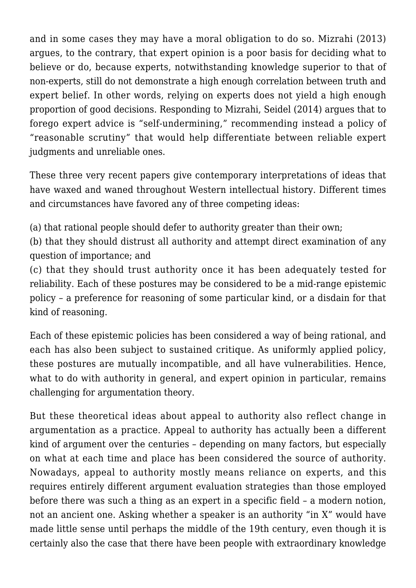and in some cases they may have a moral obligation to do so. Mizrahi (2013) argues, to the contrary, that expert opinion is a poor basis for deciding what to believe or do, because experts, notwithstanding knowledge superior to that of non-experts, still do not demonstrate a high enough correlation between truth and expert belief. In other words, relying on experts does not yield a high enough proportion of good decisions. Responding to Mizrahi, Seidel (2014) argues that to forego expert advice is "self-undermining," recommending instead a policy of "reasonable scrutiny" that would help differentiate between reliable expert judgments and unreliable ones.

These three very recent papers give contemporary interpretations of ideas that have waxed and waned throughout Western intellectual history. Different times and circumstances have favored any of three competing ideas:

(a) that rational people should defer to authority greater than their own;

(b) that they should distrust all authority and attempt direct examination of any question of importance; and

(c) that they should trust authority once it has been adequately tested for reliability. Each of these postures may be considered to be a mid-range epistemic policy – a preference for reasoning of some particular kind, or a disdain for that kind of reasoning.

Each of these epistemic policies has been considered a way of being rational, and each has also been subject to sustained critique. As uniformly applied policy, these postures are mutually incompatible, and all have vulnerabilities. Hence, what to do with authority in general, and expert opinion in particular, remains challenging for argumentation theory.

But these theoretical ideas about appeal to authority also reflect change in argumentation as a practice. Appeal to authority has actually been a different kind of argument over the centuries – depending on many factors, but especially on what at each time and place has been considered the source of authority. Nowadays, appeal to authority mostly means reliance on experts, and this requires entirely different argument evaluation strategies than those employed before there was such a thing as an expert in a specific field – a modern notion, not an ancient one. Asking whether a speaker is an authority "in X" would have made little sense until perhaps the middle of the 19th century, even though it is certainly also the case that there have been people with extraordinary knowledge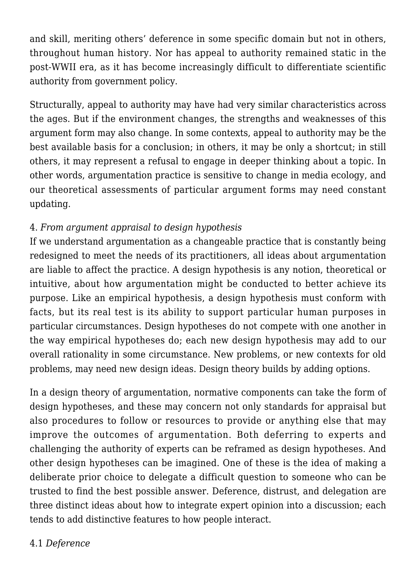and skill, meriting others' deference in some specific domain but not in others, throughout human history. Nor has appeal to authority remained static in the post-WWII era, as it has become increasingly difficult to differentiate scientific authority from government policy.

Structurally, appeal to authority may have had very similar characteristics across the ages. But if the environment changes, the strengths and weaknesses of this argument form may also change. In some contexts, appeal to authority may be the best available basis for a conclusion; in others, it may be only a shortcut; in still others, it may represent a refusal to engage in deeper thinking about a topic. In other words, argumentation practice is sensitive to change in media ecology, and our theoretical assessments of particular argument forms may need constant updating.

## 4. *From argument appraisal to design hypothesis*

If we understand argumentation as a changeable practice that is constantly being redesigned to meet the needs of its practitioners, all ideas about argumentation are liable to affect the practice. A design hypothesis is any notion, theoretical or intuitive, about how argumentation might be conducted to better achieve its purpose. Like an empirical hypothesis, a design hypothesis must conform with facts, but its real test is its ability to support particular human purposes in particular circumstances. Design hypotheses do not compete with one another in the way empirical hypotheses do; each new design hypothesis may add to our overall rationality in some circumstance. New problems, or new contexts for old problems, may need new design ideas. Design theory builds by adding options.

In a design theory of argumentation, normative components can take the form of design hypotheses, and these may concern not only standards for appraisal but also procedures to follow or resources to provide or anything else that may improve the outcomes of argumentation. Both deferring to experts and challenging the authority of experts can be reframed as design hypotheses. And other design hypotheses can be imagined. One of these is the idea of making a deliberate prior choice to delegate a difficult question to someone who can be trusted to find the best possible answer. Deference, distrust, and delegation are three distinct ideas about how to integrate expert opinion into a discussion; each tends to add distinctive features to how people interact.

#### 4.1 *Deference*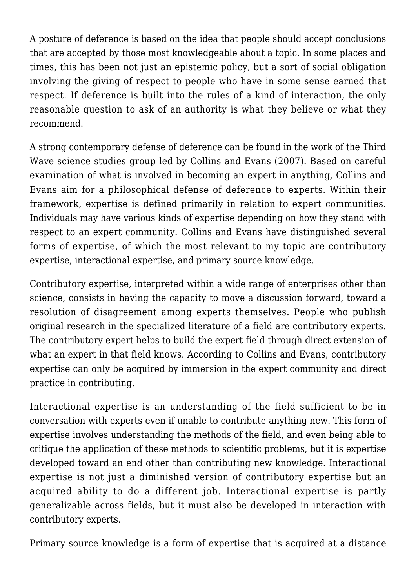A posture of deference is based on the idea that people should accept conclusions that are accepted by those most knowledgeable about a topic. In some places and times, this has been not just an epistemic policy, but a sort of social obligation involving the giving of respect to people who have in some sense earned that respect. If deference is built into the rules of a kind of interaction, the only reasonable question to ask of an authority is what they believe or what they recommend.

A strong contemporary defense of deference can be found in the work of the Third Wave science studies group led by Collins and Evans (2007). Based on careful examination of what is involved in becoming an expert in anything, Collins and Evans aim for a philosophical defense of deference to experts. Within their framework, expertise is defined primarily in relation to expert communities. Individuals may have various kinds of expertise depending on how they stand with respect to an expert community. Collins and Evans have distinguished several forms of expertise, of which the most relevant to my topic are contributory expertise, interactional expertise, and primary source knowledge.

Contributory expertise, interpreted within a wide range of enterprises other than science, consists in having the capacity to move a discussion forward, toward a resolution of disagreement among experts themselves. People who publish original research in the specialized literature of a field are contributory experts. The contributory expert helps to build the expert field through direct extension of what an expert in that field knows. According to Collins and Evans, contributory expertise can only be acquired by immersion in the expert community and direct practice in contributing.

Interactional expertise is an understanding of the field sufficient to be in conversation with experts even if unable to contribute anything new. This form of expertise involves understanding the methods of the field, and even being able to critique the application of these methods to scientific problems, but it is expertise developed toward an end other than contributing new knowledge. Interactional expertise is not just a diminished version of contributory expertise but an acquired ability to do a different job. Interactional expertise is partly generalizable across fields, but it must also be developed in interaction with contributory experts.

Primary source knowledge is a form of expertise that is acquired at a distance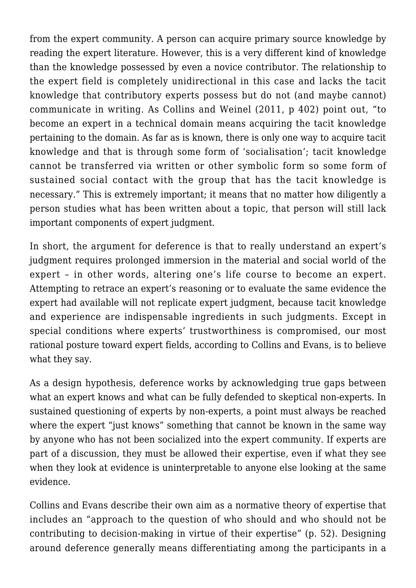from the expert community. A person can acquire primary source knowledge by reading the expert literature. However, this is a very different kind of knowledge than the knowledge possessed by even a novice contributor. The relationship to the expert field is completely unidirectional in this case and lacks the tacit knowledge that contributory experts possess but do not (and maybe cannot) communicate in writing. As Collins and Weinel (2011, p 402) point out, "to become an expert in a technical domain means acquiring the tacit knowledge pertaining to the domain. As far as is known, there is only one way to acquire tacit knowledge and that is through some form of 'socialisation': tacit knowledge cannot be transferred via written or other symbolic form so some form of sustained social contact with the group that has the tacit knowledge is necessary." This is extremely important; it means that no matter how diligently a person studies what has been written about a topic, that person will still lack important components of expert judgment.

In short, the argument for deference is that to really understand an expert's judgment requires prolonged immersion in the material and social world of the expert – in other words, altering one's life course to become an expert. Attempting to retrace an expert's reasoning or to evaluate the same evidence the expert had available will not replicate expert judgment, because tacit knowledge and experience are indispensable ingredients in such judgments. Except in special conditions where experts' trustworthiness is compromised, our most rational posture toward expert fields, according to Collins and Evans, is to believe what they say.

As a design hypothesis, deference works by acknowledging true gaps between what an expert knows and what can be fully defended to skeptical non-experts. In sustained questioning of experts by non-experts, a point must always be reached where the expert "just knows" something that cannot be known in the same way by anyone who has not been socialized into the expert community. If experts are part of a discussion, they must be allowed their expertise, even if what they see when they look at evidence is uninterpretable to anyone else looking at the same evidence.

Collins and Evans describe their own aim as a normative theory of expertise that includes an "approach to the question of who should and who should not be contributing to decision-making in virtue of their expertise" (p. 52). Designing around deference generally means differentiating among the participants in a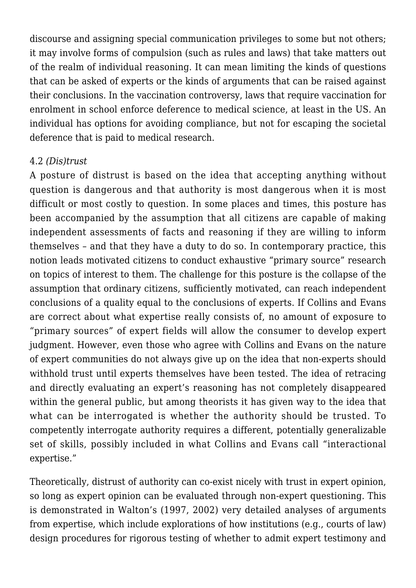discourse and assigning special communication privileges to some but not others; it may involve forms of compulsion (such as rules and laws) that take matters out of the realm of individual reasoning. It can mean limiting the kinds of questions that can be asked of experts or the kinds of arguments that can be raised against their conclusions. In the vaccination controversy, laws that require vaccination for enrolment in school enforce deference to medical science, at least in the US. An individual has options for avoiding compliance, but not for escaping the societal deference that is paid to medical research.

#### 4.2 *(Dis)trust*

A posture of distrust is based on the idea that accepting anything without question is dangerous and that authority is most dangerous when it is most difficult or most costly to question. In some places and times, this posture has been accompanied by the assumption that all citizens are capable of making independent assessments of facts and reasoning if they are willing to inform themselves – and that they have a duty to do so. In contemporary practice, this notion leads motivated citizens to conduct exhaustive "primary source" research on topics of interest to them. The challenge for this posture is the collapse of the assumption that ordinary citizens, sufficiently motivated, can reach independent conclusions of a quality equal to the conclusions of experts. If Collins and Evans are correct about what expertise really consists of, no amount of exposure to "primary sources" of expert fields will allow the consumer to develop expert judgment. However, even those who agree with Collins and Evans on the nature of expert communities do not always give up on the idea that non-experts should withhold trust until experts themselves have been tested. The idea of retracing and directly evaluating an expert's reasoning has not completely disappeared within the general public, but among theorists it has given way to the idea that what can be interrogated is whether the authority should be trusted. To competently interrogate authority requires a different, potentially generalizable set of skills, possibly included in what Collins and Evans call "interactional expertise."

Theoretically, distrust of authority can co-exist nicely with trust in expert opinion, so long as expert opinion can be evaluated through non-expert questioning. This is demonstrated in Walton's (1997, 2002) very detailed analyses of arguments from expertise, which include explorations of how institutions (e.g., courts of law) design procedures for rigorous testing of whether to admit expert testimony and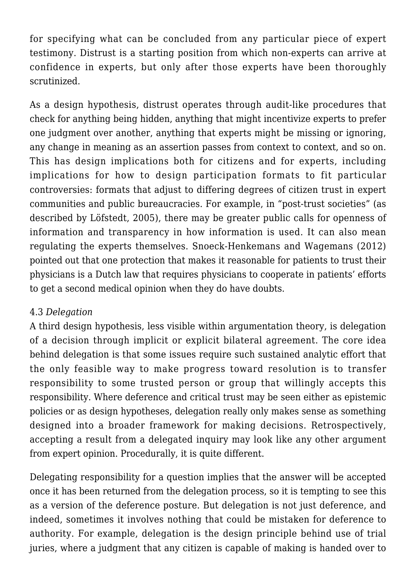for specifying what can be concluded from any particular piece of expert testimony. Distrust is a starting position from which non-experts can arrive at confidence in experts, but only after those experts have been thoroughly scrutinized.

As a design hypothesis, distrust operates through audit-like procedures that check for anything being hidden, anything that might incentivize experts to prefer one judgment over another, anything that experts might be missing or ignoring, any change in meaning as an assertion passes from context to context, and so on. This has design implications both for citizens and for experts, including implications for how to design participation formats to fit particular controversies: formats that adjust to differing degrees of citizen trust in expert communities and public bureaucracies. For example, in "post-trust societies" (as described by Löfstedt, 2005), there may be greater public calls for openness of information and transparency in how information is used. It can also mean regulating the experts themselves. Snoeck-Henkemans and Wagemans (2012) pointed out that one protection that makes it reasonable for patients to trust their physicians is a Dutch law that requires physicians to cooperate in patients' efforts to get a second medical opinion when they do have doubts.

#### 4.3 *Delegation*

A third design hypothesis, less visible within argumentation theory, is delegation of a decision through implicit or explicit bilateral agreement. The core idea behind delegation is that some issues require such sustained analytic effort that the only feasible way to make progress toward resolution is to transfer responsibility to some trusted person or group that willingly accepts this responsibility. Where deference and critical trust may be seen either as epistemic policies or as design hypotheses, delegation really only makes sense as something designed into a broader framework for making decisions. Retrospectively, accepting a result from a delegated inquiry may look like any other argument from expert opinion. Procedurally, it is quite different.

Delegating responsibility for a question implies that the answer will be accepted once it has been returned from the delegation process, so it is tempting to see this as a version of the deference posture. But delegation is not just deference, and indeed, sometimes it involves nothing that could be mistaken for deference to authority. For example, delegation is the design principle behind use of trial juries, where a judgment that any citizen is capable of making is handed over to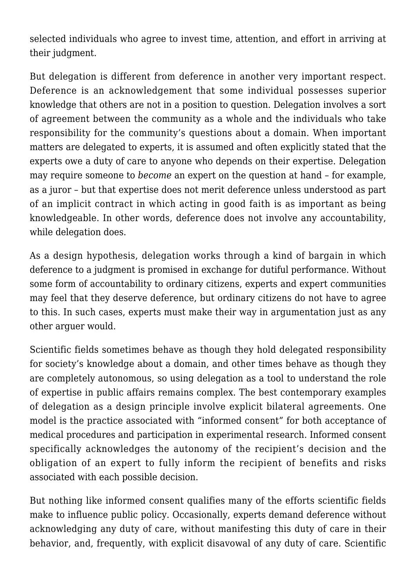selected individuals who agree to invest time, attention, and effort in arriving at their judgment.

But delegation is different from deference in another very important respect. Deference is an acknowledgement that some individual possesses superior knowledge that others are not in a position to question. Delegation involves a sort of agreement between the community as a whole and the individuals who take responsibility for the community's questions about a domain. When important matters are delegated to experts, it is assumed and often explicitly stated that the experts owe a duty of care to anyone who depends on their expertise. Delegation may require someone to *become* an expert on the question at hand – for example, as a juror – but that expertise does not merit deference unless understood as part of an implicit contract in which acting in good faith is as important as being knowledgeable. In other words, deference does not involve any accountability, while delegation does.

As a design hypothesis, delegation works through a kind of bargain in which deference to a judgment is promised in exchange for dutiful performance. Without some form of accountability to ordinary citizens, experts and expert communities may feel that they deserve deference, but ordinary citizens do not have to agree to this. In such cases, experts must make their way in argumentation just as any other arguer would.

Scientific fields sometimes behave as though they hold delegated responsibility for society's knowledge about a domain, and other times behave as though they are completely autonomous, so using delegation as a tool to understand the role of expertise in public affairs remains complex. The best contemporary examples of delegation as a design principle involve explicit bilateral agreements. One model is the practice associated with "informed consent" for both acceptance of medical procedures and participation in experimental research. Informed consent specifically acknowledges the autonomy of the recipient's decision and the obligation of an expert to fully inform the recipient of benefits and risks associated with each possible decision.

But nothing like informed consent qualifies many of the efforts scientific fields make to influence public policy. Occasionally, experts demand deference without acknowledging any duty of care, without manifesting this duty of care in their behavior, and, frequently, with explicit disavowal of any duty of care. Scientific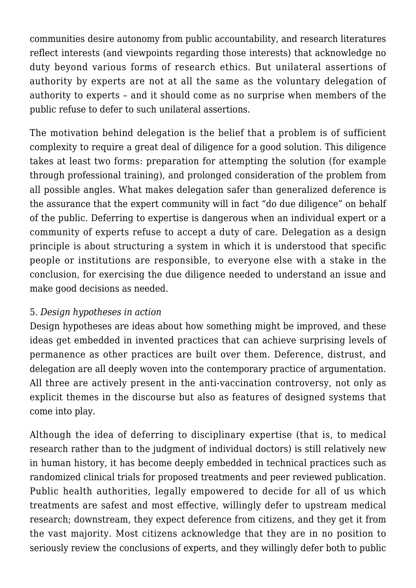communities desire autonomy from public accountability, and research literatures reflect interests (and viewpoints regarding those interests) that acknowledge no duty beyond various forms of research ethics. But unilateral assertions of authority by experts are not at all the same as the voluntary delegation of authority to experts – and it should come as no surprise when members of the public refuse to defer to such unilateral assertions.

The motivation behind delegation is the belief that a problem is of sufficient complexity to require a great deal of diligence for a good solution. This diligence takes at least two forms: preparation for attempting the solution (for example through professional training), and prolonged consideration of the problem from all possible angles. What makes delegation safer than generalized deference is the assurance that the expert community will in fact "do due diligence" on behalf of the public. Deferring to expertise is dangerous when an individual expert or a community of experts refuse to accept a duty of care. Delegation as a design principle is about structuring a system in which it is understood that specific people or institutions are responsible, to everyone else with a stake in the conclusion, for exercising the due diligence needed to understand an issue and make good decisions as needed.

## 5. *Design hypotheses in action*

Design hypotheses are ideas about how something might be improved, and these ideas get embedded in invented practices that can achieve surprising levels of permanence as other practices are built over them. Deference, distrust, and delegation are all deeply woven into the contemporary practice of argumentation. All three are actively present in the anti-vaccination controversy, not only as explicit themes in the discourse but also as features of designed systems that come into play.

Although the idea of deferring to disciplinary expertise (that is, to medical research rather than to the judgment of individual doctors) is still relatively new in human history, it has become deeply embedded in technical practices such as randomized clinical trials for proposed treatments and peer reviewed publication. Public health authorities, legally empowered to decide for all of us which treatments are safest and most effective, willingly defer to upstream medical research; downstream, they expect deference from citizens, and they get it from the vast majority. Most citizens acknowledge that they are in no position to seriously review the conclusions of experts, and they willingly defer both to public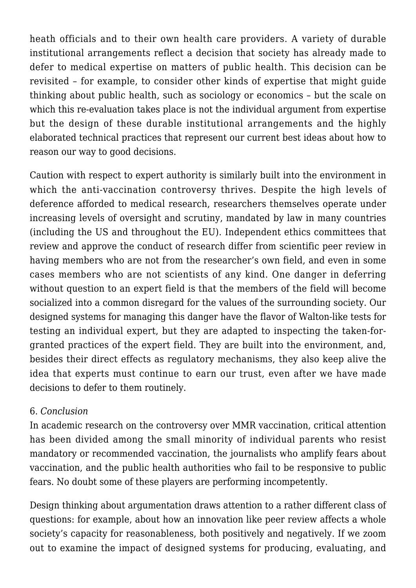heath officials and to their own health care providers. A variety of durable institutional arrangements reflect a decision that society has already made to defer to medical expertise on matters of public health. This decision can be revisited – for example, to consider other kinds of expertise that might guide thinking about public health, such as sociology or economics – but the scale on which this re-evaluation takes place is not the individual argument from expertise but the design of these durable institutional arrangements and the highly elaborated technical practices that represent our current best ideas about how to reason our way to good decisions.

Caution with respect to expert authority is similarly built into the environment in which the anti-vaccination controversy thrives. Despite the high levels of deference afforded to medical research, researchers themselves operate under increasing levels of oversight and scrutiny, mandated by law in many countries (including the US and throughout the EU). Independent ethics committees that review and approve the conduct of research differ from scientific peer review in having members who are not from the researcher's own field, and even in some cases members who are not scientists of any kind. One danger in deferring without question to an expert field is that the members of the field will become socialized into a common disregard for the values of the surrounding society. Our designed systems for managing this danger have the flavor of Walton-like tests for testing an individual expert, but they are adapted to inspecting the taken-forgranted practices of the expert field. They are built into the environment, and, besides their direct effects as regulatory mechanisms, they also keep alive the idea that experts must continue to earn our trust, even after we have made decisions to defer to them routinely.

## 6. *Conclusion*

In academic research on the controversy over MMR vaccination, critical attention has been divided among the small minority of individual parents who resist mandatory or recommended vaccination, the journalists who amplify fears about vaccination, and the public health authorities who fail to be responsive to public fears. No doubt some of these players are performing incompetently.

Design thinking about argumentation draws attention to a rather different class of questions: for example, about how an innovation like peer review affects a whole society's capacity for reasonableness, both positively and negatively. If we zoom out to examine the impact of designed systems for producing, evaluating, and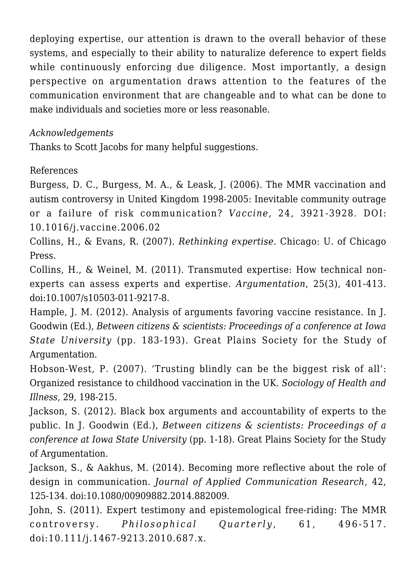deploying expertise, our attention is drawn to the overall behavior of these systems, and especially to their ability to naturalize deference to expert fields while continuously enforcing due diligence. Most importantly, a design perspective on argumentation draws attention to the features of the communication environment that are changeable and to what can be done to make individuals and societies more or less reasonable.

## *Acknowledgements*

Thanks to Scott Jacobs for many helpful suggestions.

## References

Burgess, D. C., Burgess, M. A., & Leask, J. (2006). The MMR vaccination and autism controversy in United Kingdom 1998-2005: Inevitable community outrage or a failure of risk communication? *Vaccine*, 24, 3921-3928. DOI: 10.1016/j.vaccine.2006.02

Collins, H., & Evans, R. (2007). *Rethinking expertise*. Chicago: U. of Chicago Press.

Collins, H., & Weinel, M. (2011). Transmuted expertise: How technical nonexperts can assess experts and expertise. *Argumentation*, 25(3), 401-413. doi:10.1007/s10503-011-9217-8.

Hample, J. M. (2012). Analysis of arguments favoring vaccine resistance. In J. Goodwin (Ed.), *Between citizens & scientists: Proceedings of a conference at Iowa State University* (pp. 183-193). Great Plains Society for the Study of Argumentation.

Hobson-West, P. (2007). 'Trusting blindly can be the biggest risk of all': Organized resistance to childhood vaccination in the UK. *Sociology of Health and Illness*, 29, 198-215.

Jackson, S. (2012). Black box arguments and accountability of experts to the public. In J. Goodwin (Ed.), *Between citizens & scientists: Proceedings of a conference at Iowa State University* (pp. 1-18). Great Plains Society for the Study of Argumentation.

Jackson, S., & Aakhus, M. (2014). Becoming more reflective about the role of design in communication. *Journal of Applied Communication Research*, 42, 125-134. doi:10.1080/00909882.2014.882009.

John, S. (2011). Expert testimony and epistemological free-riding: The MMR controversy. *Philosophical Quarterly* , 61, 496-517. doi:10.111/j.1467-9213.2010.687.x.